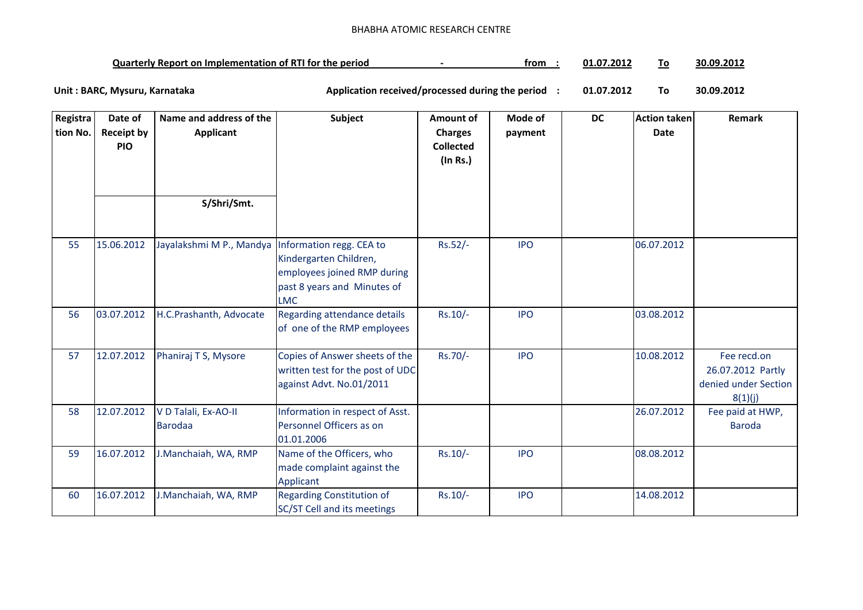## BHABHA ATOMIC RESEARCH CENTRE

| <b>Quarterly Report on Implementation of RTI for the period</b> |  | trom | 01.07.2012 | Гο | .3.2017<br>30.09 |
|-----------------------------------------------------------------|--|------|------------|----|------------------|
|-----------------------------------------------------------------|--|------|------------|----|------------------|

**01.07.2012 To 30.09.2012** Unit : BARC, Mysuru, Karnataka **Alexander State and Application received/processed during the period** :

| Registra<br>tion No. | Date of<br><b>Receipt by</b><br><b>PIO</b> | Name and address of the<br><b>Applicant</b> | <b>Subject</b>                                                                                                                 | Amount of<br><b>Charges</b><br><b>Collected</b> | Mode of<br>payment | <b>DC</b> | <b>Action taken</b><br><b>Date</b> | Remark                                                              |
|----------------------|--------------------------------------------|---------------------------------------------|--------------------------------------------------------------------------------------------------------------------------------|-------------------------------------------------|--------------------|-----------|------------------------------------|---------------------------------------------------------------------|
|                      |                                            |                                             |                                                                                                                                | (In Rs.)                                        |                    |           |                                    |                                                                     |
|                      |                                            | S/Shri/Smt.                                 |                                                                                                                                |                                                 |                    |           |                                    |                                                                     |
| 55                   | 15.06.2012                                 | Jayalakshmi M P., Mandya                    | Information regg. CEA to<br>Kindergarten Children,<br>employees joined RMP during<br>past 8 years and Minutes of<br><b>LMC</b> | Rs.52/-                                         | <b>IPO</b>         |           | 06.07.2012                         |                                                                     |
| 56                   | 03.07.2012                                 | H.C.Prashanth, Advocate                     | Regarding attendance details<br>of one of the RMP employees                                                                    | $Rs.10/-$                                       | <b>IPO</b>         |           | 03.08.2012                         |                                                                     |
| 57                   | 12.07.2012                                 | Phaniraj T S, Mysore                        | Copies of Answer sheets of the<br>written test for the post of UDC<br>against Advt. No.01/2011                                 | Rs.70/-                                         | <b>IPO</b>         |           | 10.08.2012                         | Fee recd.on<br>26.07.2012 Partly<br>denied under Section<br>8(1)(j) |
| 58                   | 12.07.2012                                 | V D Talali, Ex-AO-II<br><b>Barodaa</b>      | Information in respect of Asst.<br>Personnel Officers as on<br>01.01.2006                                                      |                                                 |                    |           | 26.07.2012                         | Fee paid at HWP,<br><b>Baroda</b>                                   |
| 59                   | 16.07.2012                                 | J.Manchaiah, WA, RMP                        | Name of the Officers, who<br>made complaint against the<br>Applicant                                                           | Rs.10/-                                         | <b>IPO</b>         |           | 08.08.2012                         |                                                                     |
| 60                   | 16.07.2012                                 | J.Manchaiah, WA, RMP                        | <b>Regarding Constitution of</b><br>SC/ST Cell and its meetings                                                                | Rs.10/-                                         | <b>IPO</b>         |           | 14.08.2012                         |                                                                     |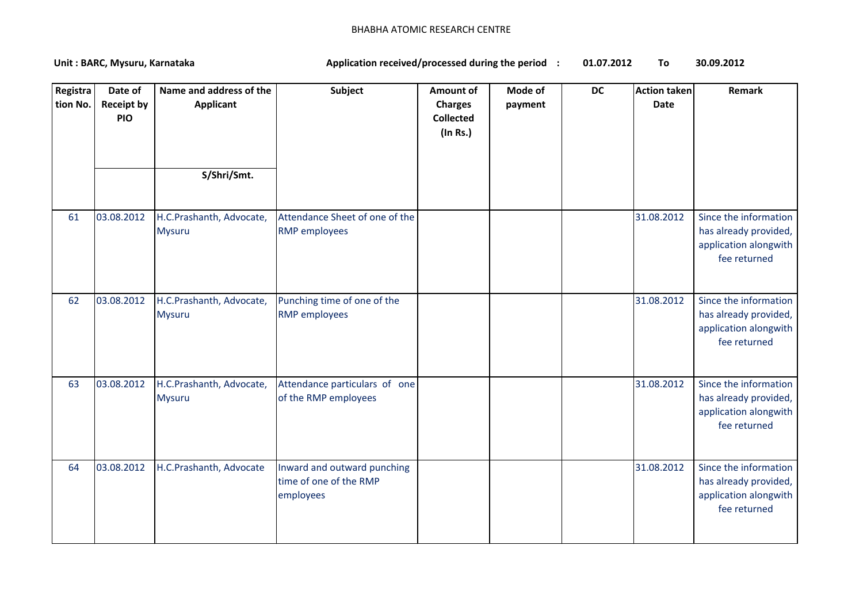## BHABHA ATOMIC RESEARCH CENTRE

**01.07.2012 To 30.09.2012** Unit : BARC, Mysuru, Karnataka **Alexander State and Application received/processed during the period** :

| Registra<br>tion No. | Date of<br><b>Receipt by</b><br><b>PIO</b> | Name and address of the<br><b>Applicant</b><br>S/Shri/Smt. | Subject                                                            | Amount of<br><b>Charges</b><br><b>Collected</b><br>(In Rs.) | Mode of<br>payment | <b>DC</b> | <b>Action taken</b><br>Date | <b>Remark</b>                                                                           |
|----------------------|--------------------------------------------|------------------------------------------------------------|--------------------------------------------------------------------|-------------------------------------------------------------|--------------------|-----------|-----------------------------|-----------------------------------------------------------------------------------------|
| 61                   | 03.08.2012                                 | H.C.Prashanth, Advocate,<br><b>Mysuru</b>                  | Attendance Sheet of one of the<br><b>RMP</b> employees             |                                                             |                    |           | 31.08.2012                  | Since the information<br>has already provided,<br>application alongwith<br>fee returned |
| 62                   | 03.08.2012                                 | H.C.Prashanth, Advocate,<br><b>Mysuru</b>                  | Punching time of one of the<br><b>RMP</b> employees                |                                                             |                    |           | 31.08.2012                  | Since the information<br>has already provided,<br>application alongwith<br>fee returned |
| 63                   | 03.08.2012                                 | H.C.Prashanth, Advocate,<br><b>Mysuru</b>                  | Attendance particulars of one<br>of the RMP employees              |                                                             |                    |           | 31.08.2012                  | Since the information<br>has already provided,<br>application alongwith<br>fee returned |
| 64                   | 03.08.2012                                 | H.C.Prashanth, Advocate                                    | Inward and outward punching<br>time of one of the RMP<br>employees |                                                             |                    |           | 31.08.2012                  | Since the information<br>has already provided,<br>application alongwith<br>fee returned |